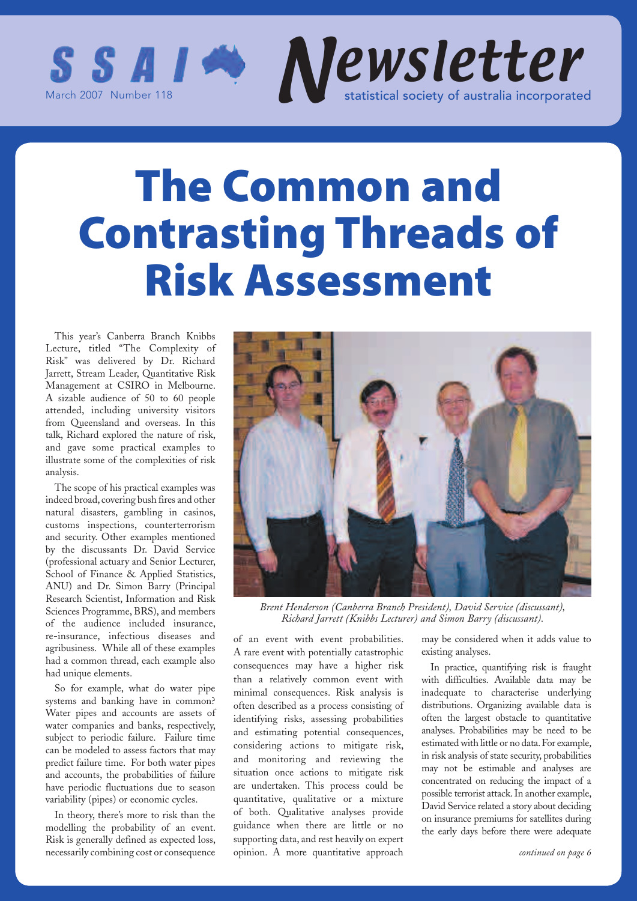

## **The Common and Contrasting Threads of Risk Assessment**

This year's Canberra Branch Knibbs Lecture, titled "The Complexity of Risk" was delivered by Dr. Richard Jarrett, Stream Leader, Quantitative Risk Management at CSIRO in Melbourne. A sizable audience of 50 to 60 people attended, including university visitors from Queensland and overseas. In this talk, Richard explored the nature of risk, and gave some practical examples to illustrate some of the complexities of risk analysis.

The scope of his practical examples was indeed broad, covering bush fires and other natural disasters, gambling in casinos, customs inspections, counterterrorism and security. Other examples mentioned by the discussants Dr. David Service (professional actuary and Senior Lecturer, School of Finance & Applied Statistics, ANU) and Dr. Simon Barry (Principal Research Scientist, Information and Risk Sciences Programme, BRS), and members of the audience included insurance, re-insurance, infectious diseases and agribusiness. While all of these examples had a common thread, each example also had unique elements.

So for example, what do water pipe systems and banking have in common? Water pipes and accounts are assets of water companies and banks, respectively, subject to periodic failure. Failure time can be modeled to assess factors that may predict failure time. For both water pipes and accounts, the probabilities of failure have periodic fluctuations due to season variability (pipes) or economic cycles.

In theory, there's more to risk than the modelling the probability of an event. Risk is generally defined as expected loss, necessarily combining cost or consequence



*Brent Henderson (Canberra Branch President), David Service (discussant), Richard Jarrett (Knibbs Lecturer) and Simon Barry (discussant).*

of an event with event probabilities. A rare event with potentially catastrophic consequences may have a higher risk than a relatively common event with minimal consequences. Risk analysis is often described as a process consisting of identifying risks, assessing probabilities and estimating potential consequences, considering actions to mitigate risk, and monitoring and reviewing the situation once actions to mitigate risk are undertaken. This process could be quantitative, qualitative or a mixture of both. Qualitative analyses provide guidance when there are little or no supporting data, and rest heavily on expert opinion. A more quantitative approach

may be considered when it adds value to existing analyses.

In practice, quantifying risk is fraught with difficulties. Available data may be inadequate to characterise underlying distributions. Organizing available data is often the largest obstacle to quantitative analyses. Probabilities may be need to be estimated with little or no data. For example, in risk analysis of state security, probabilities may not be estimable and analyses are concentrated on reducing the impact of a possible terrorist attack. In another example, David Service related a story about deciding on insurance premiums for satellites during the early days before there were adequate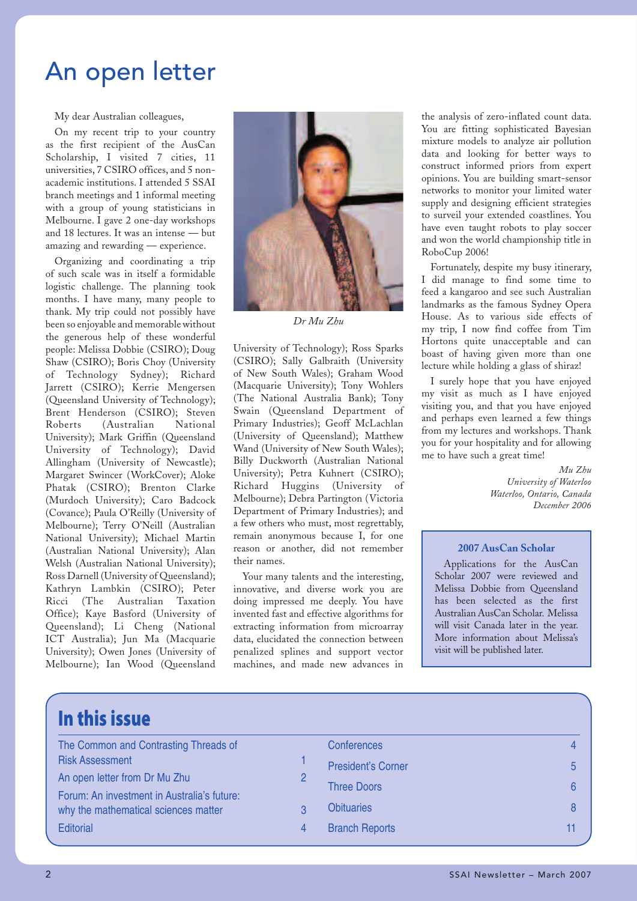## An open letter

My dear Australian colleagues,

On my recent trip to your country as the first recipient of the AusCan Scholarship, I visited 7 cities, 11 universities, 7 CSIRO offices, and 5 nonacademic institutions. I attended 5 SSAI branch meetings and 1 informal meeting with a group of young statisticians in Melbourne. I gave 2 one-day workshops and 18 lectures. It was an intense — but amazing and rewarding — experience.

Organizing and coordinating a trip of such scale was in itself a formidable logistic challenge. The planning took months. I have many, many people to thank. My trip could not possibly have been so enjoyable and memorable without the generous help of these wonderful people: Melissa Dobbie (CSIRO); Doug Shaw (CSIRO); Boris Choy (University of Technology Sydney); Richard Jarrett (CSIRO); Kerrie Mengersen (Queensland University of Technology); Brent Henderson (CSIRO); Steven Roberts (Australian National University); Mark Griffin (Queensland University of Technology); David Allingham (University of Newcastle); Margaret Swincer (WorkCover); Aloke Phatak (CSIRO); Brenton Clarke (Murdoch University); Caro Badcock (Covance); Paula O'Reilly (University of Melbourne); Terry O'Neill (Australian National University); Michael Martin (Australian National University); Alan Welsh (Australian National University); Ross Darnell (University of Queensland); Kathryn Lambkin (CSIRO); Peter Ricci (The Australian Taxation Office); Kaye Basford (University of Queensland); Li Cheng (National ICT Australia); Jun Ma (Macquarie University); Owen Jones (University of Melbourne); Ian Wood (Queensland



*Dr Mu Zhu*

University of Technology); Ross Sparks (CSIRO); Sally Galbraith (University of New South Wales); Graham Wood (Macquarie University); Tony Wohlers (The National Australia Bank); Tony Swain (Queensland Department of Primary Industries); Geoff McLachlan (University of Queensland); Matthew Wand (University of New South Wales); Billy Duckworth (Australian National University); Petra Kuhnert (CSIRO); Richard Huggins (University of Melbourne); Debra Partington (Victoria Department of Primary Industries); and a few others who must, most regrettably, remain anonymous because I, for one reason or another, did not remember their names.

Your many talents and the interesting, innovative, and diverse work you are doing impressed me deeply. You have invented fast and effective algorithms for extracting information from microarray data, elucidated the connection between penalized splines and support vector machines, and made new advances in

the analysis of zero-inflated count data. You are fitting sophisticated Bayesian mixture models to analyze air pollution data and looking for better ways to construct informed priors from expert opinions. You are building smart-sensor networks to monitor your limited water supply and designing efficient strategies to surveil your extended coastlines. You have even taught robots to play soccer and won the world championship title in RoboCup 2006!

Fortunately, despite my busy itinerary, I did manage to find some time to feed a kangaroo and see such Australian landmarks as the famous Sydney Opera House. As to various side effects of my trip, I now find coffee from Tim Hortons quite unacceptable and can boast of having given more than one lecture while holding a glass of shiraz!

I surely hope that you have enjoyed my visit as much as I have enjoyed visiting you, and that you have enjoyed and perhaps even learned a few things from my lectures and workshops. Thank you for your hospitality and for allowing me to have such a great time!

> *Mu Zhu University of Waterloo Waterloo, Ontario, Canada December 2006*

### **2007 AusCan Scholar**

Applications for the AusCan Scholar 2007 were reviewed and Melissa Dobbie from Queensland has been selected as the first Australian AusCan Scholar. Melissa will visit Canada later in the year. More information about Melissa's visit will be published later.

### **In this issue**

| The Common and Contrasting Threads of       |   | <b>Conferences</b>        |  |
|---------------------------------------------|---|---------------------------|--|
| <b>Risk Assessment</b>                      |   | <b>President's Corner</b> |  |
| An open letter from Dr Mu Zhu               |   |                           |  |
| Forum: An investment in Australia's future: |   | <b>Three Doors</b>        |  |
| why the mathematical sciences matter        |   | <b>Obituaries</b>         |  |
| <b>Editorial</b>                            | 4 | <b>Branch Reports</b>     |  |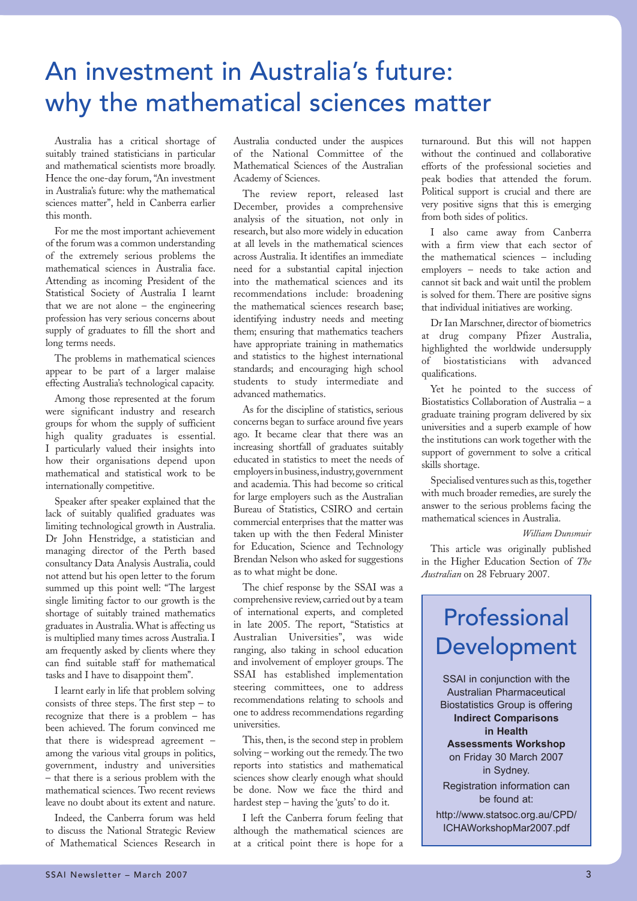## An investment in Australia's future: why the mathematical sciences matter

Australia has a critical shortage of suitably trained statisticians in particular and mathematical scientists more broadly. Hence the one-day forum, "An investment in Australia's future: why the mathematical sciences matter", held in Canberra earlier this month.

For me the most important achievement of the forum was a common understanding of the extremely serious problems the mathematical sciences in Australia face. Attending as incoming President of the Statistical Society of Australia I learnt that we are not alone – the engineering profession has very serious concerns about supply of graduates to fill the short and long terms needs.

The problems in mathematical sciences appear to be part of a larger malaise effecting Australia's technological capacity.

Among those represented at the forum were significant industry and research groups for whom the supply of sufficient high quality graduates is essential. I particularly valued their insights into how their organisations depend upon mathematical and statistical work to be internationally competitive.

Speaker after speaker explained that the lack of suitably qualified graduates was limiting technological growth in Australia. Dr John Henstridge, a statistician and managing director of the Perth based consultancy Data Analysis Australia, could not attend but his open letter to the forum summed up this point well: "The largest single limiting factor to our growth is the shortage of suitably trained mathematics graduates in Australia. What is affecting us is multiplied many times across Australia. I am frequently asked by clients where they can find suitable staff for mathematical tasks and I have to disappoint them''.

I learnt early in life that problem solving consists of three steps. The first step – to recognize that there is a problem – has been achieved. The forum convinced me that there is widespread agreement – among the various vital groups in politics, government, industry and universities – that there is a serious problem with the mathematical sciences. Two recent reviews leave no doubt about its extent and nature.

Indeed, the Canberra forum was held to discuss the National Strategic Review of Mathematical Sciences Research in

Australia conducted under the auspices of the National Committee of the Mathematical Sciences of the Australian Academy of Sciences.

The review report, released last December, provides a comprehensive analysis of the situation, not only in research, but also more widely in education at all levels in the mathematical sciences across Australia. It identifies an immediate need for a substantial capital injection into the mathematical sciences and its recommendations include: broadening the mathematical sciences research base; identifying industry needs and meeting them; ensuring that mathematics teachers have appropriate training in mathematics and statistics to the highest international standards; and encouraging high school students to study intermediate and advanced mathematics.

As for the discipline of statistics, serious concerns began to surface around five years ago. It became clear that there was an increasing shortfall of graduates suitably educated in statistics to meet the needs of employers in business, industry, government and academia. This had become so critical for large employers such as the Australian Bureau of Statistics, CSIRO and certain commercial enterprises that the matter was taken up with the then Federal Minister for Education, Science and Technology Brendan Nelson who asked for suggestions as to what might be done.

The chief response by the SSAI was a comprehensive review, carried out by a team of international experts, and completed in late 2005. The report, "Statistics at Australian Universities", was wide ranging, also taking in school education and involvement of employer groups. The SSAI has established implementation steering committees, one to address recommendations relating to schools and one to address recommendations regarding universities.

This, then, is the second step in problem solving – working out the remedy. The two reports into statistics and mathematical sciences show clearly enough what should be done. Now we face the third and hardest step – having the 'guts' to do it.

I left the Canberra forum feeling that although the mathematical sciences are at a critical point there is hope for a

turnaround. But this will not happen without the continued and collaborative efforts of the professional societies and peak bodies that attended the forum. Political support is crucial and there are very positive signs that this is emerging from both sides of politics.

I also came away from Canberra with a firm view that each sector of the mathematical sciences – including employers – needs to take action and cannot sit back and wait until the problem is solved for them. There are positive signs that individual initiatives are working.

Dr Ian Marschner, director of biometrics at drug company Pfizer Australia, highlighted the worldwide undersupply<br>of biostatisticians with advanced of biostatisticians with qualifications.

Yet he pointed to the success of Biostatistics Collaboration of Australia – a graduate training program delivered by six universities and a superb example of how the institutions can work together with the support of government to solve a critical skills shortage.

Specialised ventures such as this, together with much broader remedies, are surely the answer to the serious problems facing the mathematical sciences in Australia.

### *William Dunsmuir*

This article was originally published in the Higher Education Section of *The Australian* on 28 February 2007.

## Professional Development

SSAI in conjunction with the Australian Pharmaceutical Biostatistics Group is offering **Indirect Comparisons in Health Assessments Workshop** on Friday 30 March 2007 in Sydney. Registration information can

be found at:

http://www.statsoc.org.au/CPD/ ICHAWorkshopMar2007.pdf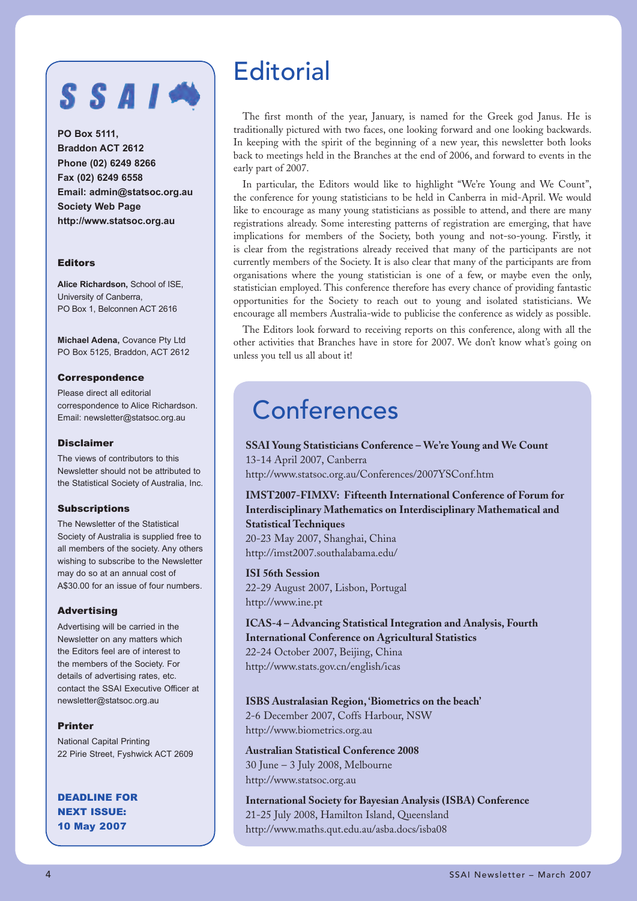## SSAIN

**PO Box 5111, Braddon ACT 2612 Phone (02) 6249 8266 Fax (02) 6249 6558 Email: admin@statsoc.org.au Society Web Page http://www.statsoc.org.au**

### Editors

**Alice Richardson,** School of ISE, University of Canberra, PO Box 1, Belconnen ACT 2616

**Michael Adena,** Covance Pty Ltd PO Box 5125, Braddon, ACT 2612

### Correspondence

Please direct all editorial correspondence to Alice Richardson. Email: newsletter@statsoc.org.au

### Disclaimer

The views of contributors to this Newsletter should not be attributed to the Statistical Society of Australia, Inc.

### **Subscriptions**

The Newsletter of the Statistical Society of Australia is supplied free to all members of the society. Any others wishing to subscribe to the Newsletter may do so at an annual cost of A\$30.00 for an issue of four numbers.

### Advertising

Advertising will be carried in the Newsletter on any matters which the Editors feel are of interest to the members of the Society. For details of advertising rates, etc. contact the SSAI Executive Officer at newsletter@statsoc.org.au

### Printer

National Capital Printing 22 Pirie Street, Fyshwick ACT 2609

DEADLINE FOR NEXT ISSUE: 10 May 2007

## **Editorial**

The first month of the year, January, is named for the Greek god Janus. He is traditionally pictured with two faces, one looking forward and one looking backwards. In keeping with the spirit of the beginning of a new year, this newsletter both looks back to meetings held in the Branches at the end of 2006, and forward to events in the early part of 2007.

In particular, the Editors would like to highlight "We're Young and We Count", the conference for young statisticians to be held in Canberra in mid-April. We would like to encourage as many young statisticians as possible to attend, and there are many registrations already. Some interesting patterns of registration are emerging, that have implications for members of the Society, both young and not-so-young. Firstly, it is clear from the registrations already received that many of the participants are not currently members of the Society. It is also clear that many of the participants are from organisations where the young statistician is one of a few, or maybe even the only, statistician employed. This conference therefore has every chance of providing fantastic opportunities for the Society to reach out to young and isolated statisticians. We encourage all members Australia-wide to publicise the conference as widely as possible.

The Editors look forward to receiving reports on this conference, along with all the other activities that Branches have in store for 2007. We don't know what's going on unless you tell us all about it!

## **Conferences**

**SSAI Young Statisticians Conference – We're Young and We Count** 13-14 April 2007, Canberra http://www.statsoc.org.au/Conferences/2007YSConf.htm

**IMST2007-FIMXV: Fifteenth International Conference of Forum for Interdisciplinary Mathematics on Interdisciplinary Mathematical and Statistical Techniques**

20-23 May 2007, Shanghai, China http://imst2007.southalabama.edu/

**ISI 56th Session** 22-29 August 2007, Lisbon, Portugal http://www.ine.pt

**ICAS-4 – Advancing Statistical Integration and Analysis, Fourth International Conference on Agricultural Statistics** 22-24 October 2007, Beijing, China http://www.stats.gov.cn/english/icas

### **ISBS Australasian Region, 'Biometrics on the beach'**

2-6 December 2007, Coffs Harbour, NSW http://www.biometrics.org.au

**Australian Statistical Conference 2008** 30 June – 3 July 2008, Melbourne http://www.statsoc.org.au

**International Society for Bayesian Analysis (ISBA) Conference** 21-25 July 2008, Hamilton Island, Queensland http://www.maths.qut.edu.au/asba.docs/isba08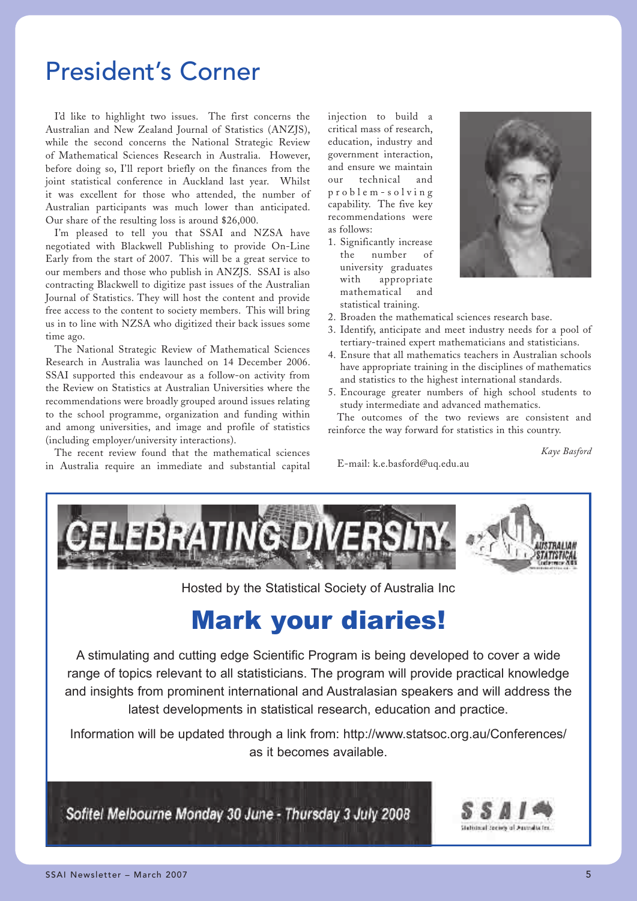## President's Corner

I'd like to highlight two issues. The first concerns the Australian and New Zealand Journal of Statistics (ANZJS), while the second concerns the National Strategic Review of Mathematical Sciences Research in Australia. However, before doing so, I'll report briefly on the finances from the joint statistical conference in Auckland last year. Whilst it was excellent for those who attended, the number of Australian participants was much lower than anticipated. Our share of the resulting loss is around \$26,000.

I'm pleased to tell you that SSAI and NZSA have negotiated with Blackwell Publishing to provide On-Line Early from the start of 2007. This will be a great service to our members and those who publish in ANZJS. SSAI is also contracting Blackwell to digitize past issues of the Australian Journal of Statistics. They will host the content and provide free access to the content to society members. This will bring us in to line with NZSA who digitized their back issues some time ago.

The National Strategic Review of Mathematical Sciences Research in Australia was launched on 14 December 2006. SSAI supported this endeavour as a follow-on activity from the Review on Statistics at Australian Universities where the recommendations were broadly grouped around issues relating to the school programme, organization and funding within and among universities, and image and profile of statistics (including employer/university interactions).

The recent review found that the mathematical sciences in Australia require an immediate and substantial capital injection to build a critical mass of research, education, industry and government interaction, and ensure we maintain our technical and p r o b l e m - s o l v i n g capability. The five key recommendations were as follows:

1. Significantly increase the number of university graduates with appropriate mathematical and statistical training.



- 2. Broaden the mathematical sciences research base.
- 3. Identify, anticipate and meet industry needs for a pool of tertiary-trained expert mathematicians and statisticians.
- 4. Ensure that all mathematics teachers in Australian schools have appropriate training in the disciplines of mathematics and statistics to the highest international standards.
- 5. Encourage greater numbers of high school students to study intermediate and advanced mathematics.

The outcomes of the two reviews are consistent and reinforce the way forward for statistics in this country.

*Kaye Basford*

E-mail: k.e.basford@uq.edu.au



Hosted by the Statistical Society of Australia Inc

## Mark your diaries!

A stimulating and cutting edge Scientific Program is being developed to cover a wide range of topics relevant to all statisticians. The program will provide practical knowledge and insights from prominent international and Australasian speakers and will address the latest developments in statistical research, education and practice.

Information will be updated through a link from: http://www.statsoc.org.au/Conferences/ as it becomes available.

Sofitel Melbourne Monday 30 June - Thursday 3 July 2008

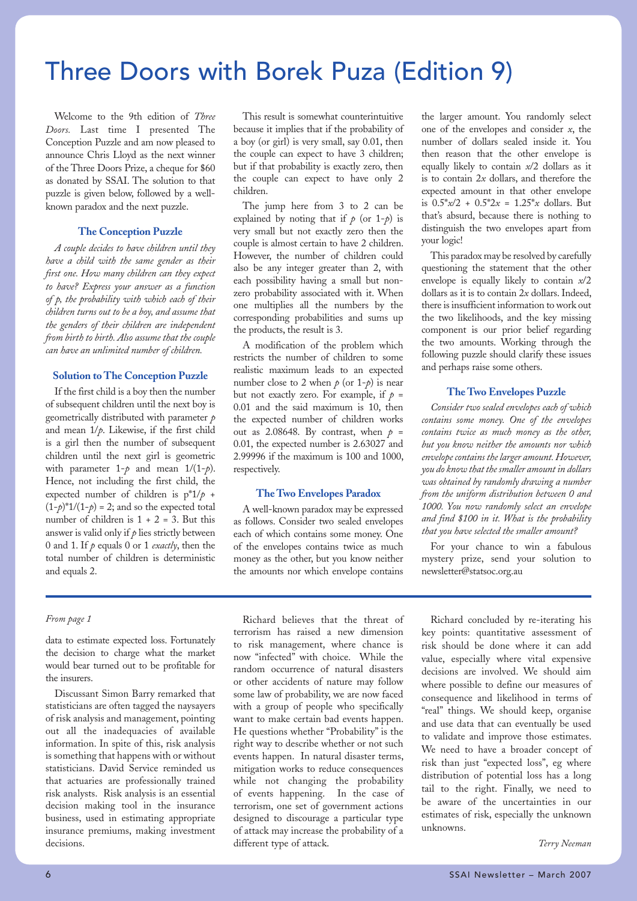## Three Doors with Borek Puza (Edition 9)

Welcome to the 9th edition of *Three Doors.* Last time I presented The Conception Puzzle and am now pleased to announce Chris Lloyd as the next winner of the Three Doors Prize, a cheque for \$60 as donated by SSAI. The solution to that puzzle is given below, followed by a wellknown paradox and the next puzzle.

### **The Conception Puzzle**

*A couple decides to have children until they have a child with the same gender as their first one. How many children can they expect to have? Express your answer as a function of p, the probability with which each of their children turns out to be a boy, and assume that the genders of their children are independent from birth to birth. Also assume that the couple can have an unlimited number of children.*

### **Solution to The Conception Puzzle**

If the first child is a boy then the number of subsequent children until the next boy is geometrically distributed with parameter *p* and mean 1/*p*. Likewise, if the first child is a girl then the number of subsequent children until the next girl is geometric with parameter  $1-\rho$  and mean  $1/(1-\rho)$ . Hence, not including the first child, the expected number of children is p\*1/*p* +  $(1-p)^*1/(1-p) = 2$ ; and so the expected total number of children is  $1 + 2 = 3$ . But this answer is valid only if  $\rho$  lies strictly between 0 and 1. If *p* equals 0 or 1 *exactly*, then the total number of children is deterministic and equals 2.

data to estimate expected loss. Fortunately the decision to charge what the market would bear turned out to be profitable for the insurers.

Discussant Simon Barry remarked that statisticians are often tagged the naysayers of risk analysis and management, pointing out all the inadequacies of available information. In spite of this, risk analysis is something that happens with or without statisticians. David Service reminded us that actuaries are professionally trained risk analysts. Risk analysis is an essential decision making tool in the insurance business, used in estimating appropriate insurance premiums, making investment decisions.

This result is somewhat counterintuitive because it implies that if the probability of a boy (or girl) is very small, say 0.01, then the couple can expect to have 3 children; but if that probability is exactly zero, then the couple can expect to have only 2 children.

The jump here from 3 to 2 can be explained by noting that if  $p$  (or  $1-p$ ) is very small but not exactly zero then the couple is almost certain to have 2 children. However, the number of children could also be any integer greater than 2, with each possibility having a small but nonzero probability associated with it. When one multiplies all the numbers by the corresponding probabilities and sums up the products, the result is 3.

A modification of the problem which restricts the number of children to some realistic maximum leads to an expected number close to 2 when  $p$  (or 1- $p$ ) is near but not exactly zero. For example, if  $p =$ 0.01 and the said maximum is 10, then the expected number of children works out as 2.08648. By contrast, when  $p =$ 0.01, the expected number is 2.63027 and 2.99996 if the maximum is 100 and 1000, respectively.

### **The Two Envelopes Paradox**

A well-known paradox may be expressed as follows. Consider two sealed envelopes each of which contains some money. One of the envelopes contains twice as much money as the other, but you know neither the amounts nor which envelope contains

the larger amount. You randomly select one of the envelopes and consider *x*, the number of dollars sealed inside it. You then reason that the other envelope is equally likely to contain *x*/2 dollars as it is to contain 2*x* dollars, and therefore the expected amount in that other envelope is  $0.5 * x/2 + 0.5 * 2x = 1.25 * x$  dollars. But that's absurd, because there is nothing to distinguish the two envelopes apart from your logic!

This paradox may be resolved by carefully questioning the statement that the other envelope is equally likely to contain *x*/2 dollars as it is to contain 2*x* dollars. Indeed, there is insufficient information to work out the two likelihoods, and the key missing component is our prior belief regarding the two amounts. Working through the following puzzle should clarify these issues and perhaps raise some others.

### **The Two Envelopes Puzzle**

*Consider two sealed envelopes each of which contains some money. One of the envelopes contains twice as much money as the other, but you know neither the amounts nor which envelope contains the larger amount. However, you do know that the smaller amount in dollars was obtained by randomly drawing a number from the uniform distribution between 0 and 1000. You now randomly select an envelope and find \$100 in it. What is the probability that you have selected the smaller amount?* 

For your chance to win a fabulous mystery prize, send your solution to newsletter@statsoc.org.au

*From page 1* Richard believes that the threat of terrorism has raised a new dimension to risk management, where chance is now "infected" with choice. While the random occurrence of natural disasters or other accidents of nature may follow some law of probability, we are now faced with a group of people who specifically want to make certain bad events happen. He questions whether "Probability" is the right way to describe whether or not such events happen. In natural disaster terms, mitigation works to reduce consequences while not changing the probability of events happening. In the case of terrorism, one set of government actions designed to discourage a particular type of attack may increase the probability of a different type of attack.

Richard concluded by re-iterating his key points: quantitative assessment of risk should be done where it can add value, especially where vital expensive decisions are involved. We should aim where possible to define our measures of consequence and likelihood in terms of "real" things. We should keep, organise and use data that can eventually be used to validate and improve those estimates. We need to have a broader concept of risk than just "expected loss", eg where distribution of potential loss has a long tail to the right. Finally, we need to be aware of the uncertainties in our estimates of risk, especially the unknown unknowns.

*Terry Neeman*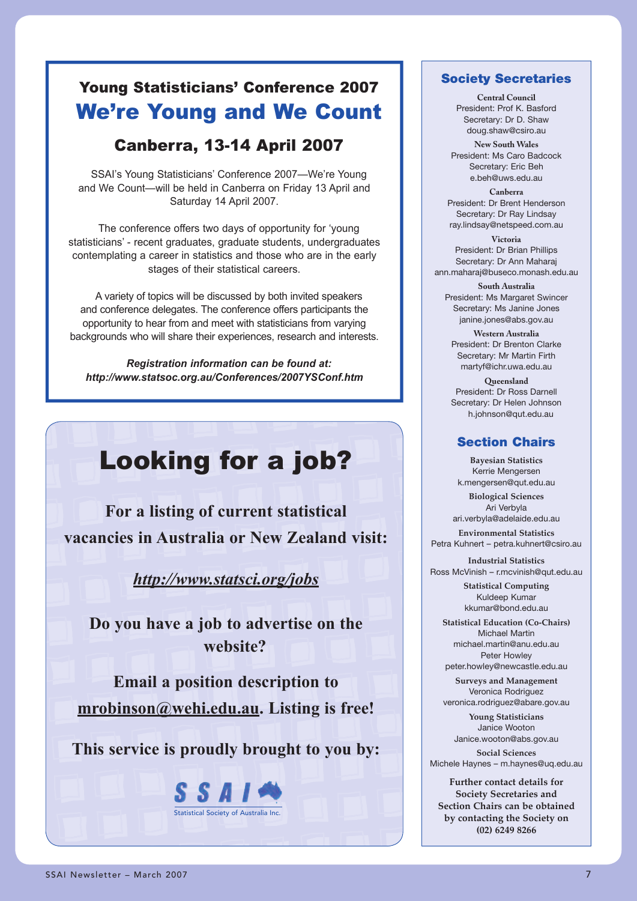### Young Statisticians' Conference 2007 We're Young and We Count

### Canberra, 13-14 April 2007

SSAI's Young Statisticians' Conference 2007—We're Young and We Count—will be held in Canberra on Friday 13 April and Saturday 14 April 2007.

The conference offers two days of opportunity for 'young statisticians' - recent graduates, graduate students, undergraduates contemplating a career in statistics and those who are in the early stages of their statistical careers.

A variety of topics will be discussed by both invited speakers and conference delegates. The conference offers participants the opportunity to hear from and meet with statisticians from varying backgrounds who will share their experiences, research and interests.

*Registration information can be found at: http://www.statsoc.org.au/Conferences/2007YSConf.htm*

## Looking for a job?

**For a listing of current statistical vacancies in Australia or New Zealand visit:**

*http://www.statsci.org/jobs*

**Do you have a job to advertise on the website?**

**Email a position description to mrobinson@wehi.edu.au. Listing is free!**

**This service is proudly brought to you by:**



### **Society Secretaries**

**Central Council** President: Prof K. Basford Secretary: Dr D. Shaw doug.shaw@csiro.au

**New South Wales** President: Ms Caro Badcock Secretary: Eric Beh e.beh@uws.edu.au

**Canberra** President: Dr Brent Henderson Secretary: Dr Ray Lindsay ray.lindsay@netspeed.com.au

**Victoria** President: Dr Brian Phillips Secretary: Dr Ann Maharaj ann.maharaj@buseco.monash.edu.au

**South Australia** President: Ms Margaret Swincer Secretary: Ms Janine Jones janine.jones@abs.gov.au

**Western Australia** President: Dr Brenton Clarke Secretary: Mr Martin Firth martyf@ichr.uwa.edu.au

**Queensland** President: Dr Ross Darnell Secretary: Dr Helen Johnson h.johnson@qut.edu.au

### **Section Chairs**

**Bayesian Statistics** Kerrie Mengersen k.mengersen@qut.edu.au

**Biological Sciences** Ari Verbyla ari.verbyla@adelaide.edu.au

**Environmental Statistics** Petra Kuhnert – petra.kuhnert@csiro.au

**Industrial Statistics** Ross McVinish – r.mcvinish@qut.edu.au

> **Statistical Computing** Kuldeep Kumar kkumar@bond.edu.au

**Statistical Education (Co-Chairs)** Michael Martin michael.martin@anu.edu.au Peter Howley peter.howley@newcastle.edu.au

**Surveys and Management** Veronica Rodriguez veronica.rodriguez@abare.gov.au

**Young Statisticians** Janice Wooton Janice.wooton@abs.gov.au

**Social Sciences** Michele Haynes – m.haynes@uq.edu.au

**Further contact details for Society Secretaries and Section Chairs can be obtained by contacting the Society on (02) 6249 8266**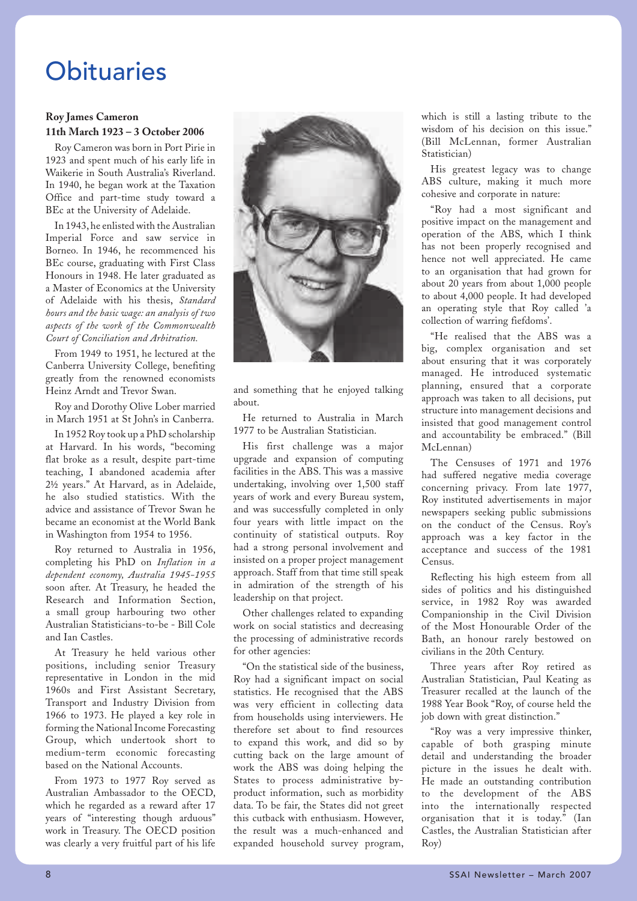## **Obituaries**

### **Roy James Cameron 11th March 1923 – 3 October 2006**

Roy Cameron was born in Port Pirie in 1923 and spent much of his early life in Waikerie in South Australia's Riverland. In 1940, he began work at the Taxation Office and part-time study toward a BEc at the University of Adelaide.

In 1943, he enlisted with the Australian Imperial Force and saw service in Borneo. In 1946, he recommenced his BEc course, graduating with First Class Honours in 1948. He later graduated as a Master of Economics at the University of Adelaide with his thesis, *Standard hours and the basic wage: an analysis of two aspects of the work of the Commonwealth Court of Conciliation and Arbitration.* 

From 1949 to 1951, he lectured at the Canberra University College, benefiting greatly from the renowned economists Heinz Arndt and Trevor Swan.

Roy and Dorothy Olive Lober married in March 1951 at St John's in Canberra.

In 1952 Roy took up a PhD scholarship at Harvard. In his words, "becoming flat broke as a result, despite part-time teaching, I abandoned academia after 2½ years." At Harvard, as in Adelaide, he also studied statistics. With the advice and assistance of Trevor Swan he became an economist at the World Bank in Washington from 1954 to 1956.

Roy returned to Australia in 1956, completing his PhD on *Inflation in a dependent economy, Australia 1945-1955* soon after. At Treasury, he headed the Research and Information Section, a small group harbouring two other Australian Statisticians-to-be - Bill Cole and Ian Castles.

At Treasury he held various other positions, including senior Treasury representative in London in the mid 1960s and First Assistant Secretary, Transport and Industry Division from 1966 to 1973. He played a key role in forming the National Income Forecasting Group, which undertook short to medium-term economic forecasting based on the National Accounts.

From 1973 to 1977 Roy served as Australian Ambassador to the OECD, which he regarded as a reward after 17 years of "interesting though arduous" work in Treasury. The OECD position was clearly a very fruitful part of his life



and something that he enjoyed talking about.

He returned to Australia in March 1977 to be Australian Statistician.

His first challenge was a major upgrade and expansion of computing facilities in the ABS. This was a massive undertaking, involving over 1,500 staff years of work and every Bureau system, and was successfully completed in only four years with little impact on the continuity of statistical outputs. Roy had a strong personal involvement and insisted on a proper project management approach. Staff from that time still speak in admiration of the strength of his leadership on that project.

Other challenges related to expanding work on social statistics and decreasing the processing of administrative records for other agencies:

"On the statistical side of the business, Roy had a significant impact on social statistics. He recognised that the ABS was very efficient in collecting data from households using interviewers. He therefore set about to find resources to expand this work, and did so by cutting back on the large amount of work the ABS was doing helping the States to process administrative byproduct information, such as morbidity data. To be fair, the States did not greet this cutback with enthusiasm. However, the result was a much-enhanced and expanded household survey program,

which is still a lasting tribute to the wisdom of his decision on this issue." (Bill McLennan, former Australian Statistician)

His greatest legacy was to change ABS culture, making it much more cohesive and corporate in nature:

"Roy had a most significant and positive impact on the management and operation of the ABS, which I think has not been properly recognised and hence not well appreciated. He came to an organisation that had grown for about 20 years from about 1,000 people to about 4,000 people. It had developed an operating style that Roy called 'a collection of warring fiefdoms'.

"He realised that the ABS was a big, complex organisation and set about ensuring that it was corporately managed. He introduced systematic planning, ensured that a corporate approach was taken to all decisions, put structure into management decisions and insisted that good management control and accountability be embraced." (Bill McLennan)

The Censuses of 1971 and 1976 had suffered negative media coverage concerning privacy. From late 1977, Roy instituted advertisements in major newspapers seeking public submissions on the conduct of the Census. Roy's approach was a key factor in the acceptance and success of the 1981 Census.

Reflecting his high esteem from all sides of politics and his distinguished service, in 1982 Roy was awarded Companionship in the Civil Division of the Most Honourable Order of the Bath, an honour rarely bestowed on civilians in the 20th Century.

Three years after Roy retired as Australian Statistician, Paul Keating as Treasurer recalled at the launch of the 1988 Year Book "Roy, of course held the job down with great distinction."

"Roy was a very impressive thinker, capable of both grasping minute detail and understanding the broader picture in the issues he dealt with. He made an outstanding contribution to the development of the ABS into the internationally respected organisation that it is today." (Ian Castles, the Australian Statistician after Roy)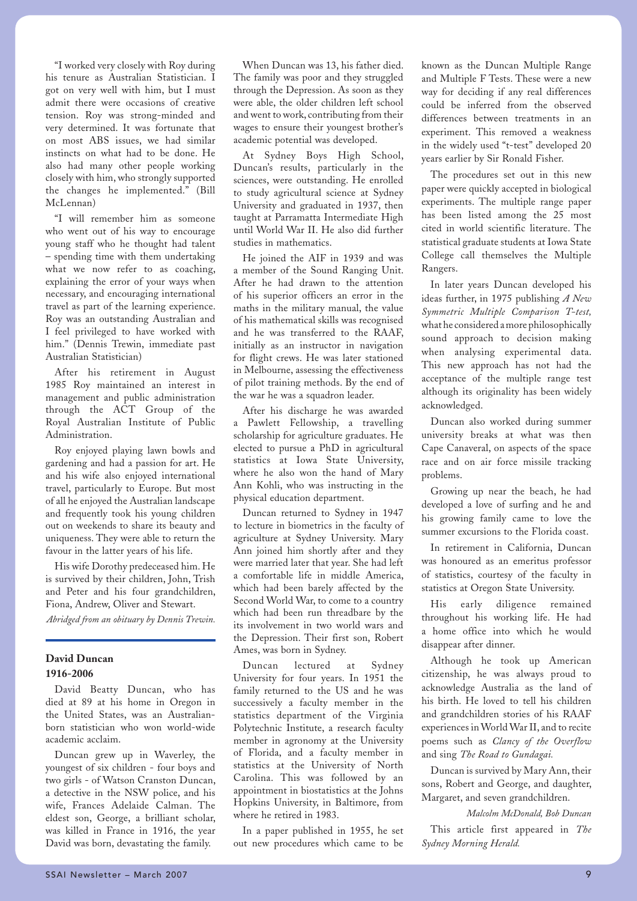"I worked very closely with Roy during his tenure as Australian Statistician. I got on very well with him, but I must admit there were occasions of creative tension. Roy was strong-minded and very determined. It was fortunate that on most ABS issues, we had similar instincts on what had to be done. He also had many other people working closely with him, who strongly supported the changes he implemented." (Bill McLennan)

"I will remember him as someone who went out of his way to encourage young staff who he thought had talent – spending time with them undertaking what we now refer to as coaching, explaining the error of your ways when necessary, and encouraging international travel as part of the learning experience. Roy was an outstanding Australian and I feel privileged to have worked with him." (Dennis Trewin, immediate past Australian Statistician)

After his retirement in August 1985 Roy maintained an interest in management and public administration through the ACT Group of the Royal Australian Institute of Public Administration.

Roy enjoyed playing lawn bowls and gardening and had a passion for art. He and his wife also enjoyed international travel, particularly to Europe. But most of all he enjoyed the Australian landscape and frequently took his young children out on weekends to share its beauty and uniqueness. They were able to return the favour in the latter years of his life.

His wife Dorothy predeceased him. He is survived by their children, John, Trish and Peter and his four grandchildren, Fiona, Andrew, Oliver and Stewart.

*Abridged from an obituary by Dennis Trewin.* 

### **David Duncan 1916-2006**

David Beatty Duncan, who has died at 89 at his home in Oregon in the United States, was an Australianborn statistician who won world-wide academic acclaim.

Duncan grew up in Waverley, the youngest of six children - four boys and two girls - of Watson Cranston Duncan, a detective in the NSW police, and his wife, Frances Adelaide Calman. The eldest son, George, a brilliant scholar, was killed in France in 1916, the year David was born, devastating the family.

When Duncan was 13, his father died. The family was poor and they struggled through the Depression. As soon as they were able, the older children left school and went to work, contributing from their wages to ensure their youngest brother's academic potential was developed.

At Sydney Boys High School, Duncan's results, particularly in the sciences, were outstanding. He enrolled to study agricultural science at Sydney University and graduated in 1937, then taught at Parramatta Intermediate High until World War II. He also did further studies in mathematics.

He joined the AIF in 1939 and was a member of the Sound Ranging Unit. After he had drawn to the attention of his superior officers an error in the maths in the military manual, the value of his mathematical skills was recognised and he was transferred to the RAAF, initially as an instructor in navigation for flight crews. He was later stationed in Melbourne, assessing the effectiveness of pilot training methods. By the end of the war he was a squadron leader.

After his discharge he was awarded a Pawlett Fellowship, a travelling scholarship for agriculture graduates. He elected to pursue a PhD in agricultural statistics at Iowa State University, where he also won the hand of Mary Ann Kohli, who was instructing in the physical education department.

Duncan returned to Sydney in 1947 to lecture in biometrics in the faculty of agriculture at Sydney University. Mary Ann joined him shortly after and they were married later that year. She had left a comfortable life in middle America, which had been barely affected by the Second World War, to come to a country which had been run threadbare by the its involvement in two world wars and the Depression. Their first son, Robert Ames, was born in Sydney.

Duncan lectured at Sydney University for four years. In 1951 the family returned to the US and he was successively a faculty member in the statistics department of the Virginia Polytechnic Institute, a research faculty member in agronomy at the University of Florida, and a faculty member in statistics at the University of North Carolina. This was followed by an appointment in biostatistics at the Johns Hopkins University, in Baltimore, from where he retired in 1983.

In a paper published in 1955, he set out new procedures which came to be

known as the Duncan Multiple Range and Multiple F Tests. These were a new way for deciding if any real differences could be inferred from the observed differences between treatments in an experiment. This removed a weakness in the widely used "t-test" developed 20 years earlier by Sir Ronald Fisher.

The procedures set out in this new paper were quickly accepted in biological experiments. The multiple range paper has been listed among the 25 most cited in world scientific literature. The statistical graduate students at Iowa State College call themselves the Multiple Rangers.

In later years Duncan developed his ideas further, in 1975 publishing *A New Symmetric Multiple Comparison T-test,*  what he considered a more philosophically sound approach to decision making when analysing experimental data. This new approach has not had the acceptance of the multiple range test although its originality has been widely acknowledged.

Duncan also worked during summer university breaks at what was then Cape Canaveral, on aspects of the space race and on air force missile tracking problems.

Growing up near the beach, he had developed a love of surfing and he and his growing family came to love the summer excursions to the Florida coast.

In retirement in California, Duncan was honoured as an emeritus professor of statistics, courtesy of the faculty in statistics at Oregon State University.

His early diligence remained throughout his working life. He had a home office into which he would disappear after dinner.

Although he took up American citizenship, he was always proud to acknowledge Australia as the land of his birth. He loved to tell his children and grandchildren stories of his RAAF experiences in World War II, and to recite poems such as *Clancy of the Overflow* and sing *The Road to Gundagai.*

Duncan is survived by Mary Ann, their sons, Robert and George, and daughter, Margaret, and seven grandchildren.

*Malcolm McDonald, Bob Duncan* This article first appeared in *The Sydney Morning Herald.*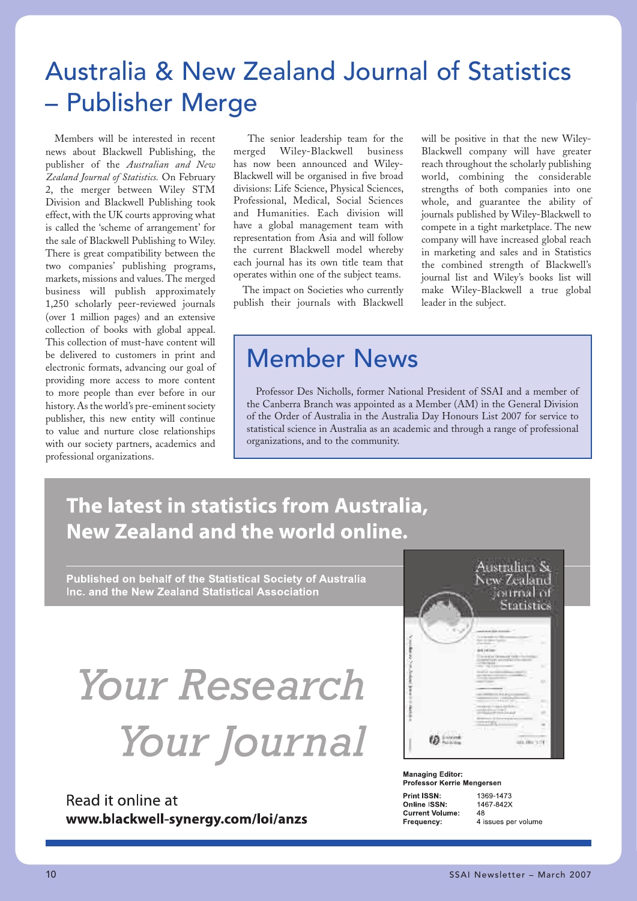## Australia & New Zealand Journal of Statistics – Publisher Merge

Members will be interested in recent news about Blackwell Publishing, the publisher of the *Australian and New Zealand Journal of Statistics.* On February 2, the merger between Wiley STM Division and Blackwell Publishing took effect, with the UK courts approving what is called the 'scheme of arrangement' for the sale of Blackwell Publishing to Wiley. There is great compatibility between the two companies' publishing programs, markets, missions and values. The merged business will publish approximately 1,250 scholarly peer-reviewed journals (over 1 million pages) and an extensive collection of books with global appeal. This collection of must-have content will be delivered to customers in print and electronic formats, advancing our goal of providing more access to more content to more people than ever before in our history. As the world's pre-eminent society publisher, this new entity will continue to value and nurture close relationships with our society partners, academics and professional organizations.

 The senior leadership team for the merged Wiley-Blackwell business has now been announced and Wiley-Blackwell will be organised in five broad divisions: Life Science, Physical Sciences, Professional, Medical, Social Sciences and Humanities. Each division will have a global management team with representation from Asia and will follow the current Blackwell model whereby each journal has its own title team that operates within one of the subject teams.

The impact on Societies who currently publish their journals with Blackwell

will be positive in that the new Wiley-Blackwell company will have greater reach throughout the scholarly publishing world, combining the considerable strengths of both companies into one whole, and guarantee the ability of journals published by Wiley-Blackwell to compete in a tight marketplace. The new company will have increased global reach in marketing and sales and in Statistics the combined strength of Blackwell's journal list and Wiley's books list will make Wiley-Blackwell a true global leader in the subject.

## Member News

Professor Des Nicholls, former National President of SSAI and a member of the Canberra Branch was appointed as a Member (AM) in the General Division of the Order of Australia in the Australia Day Honours List 2007 for service to statistical science in Australia as an academic and through a range of professional organizations, and to the community.

## The latest in statistics from Australia, **New Zealand and the world online.**

Published on behalf of the Statistical Society of Australia Inc. and the New Zealand Statistical Association

# **Your Research** Your Journal

### Read it online at www.blackwell-synergy.com/loi/anzs

| Australian Sa<br>New Zealand<br>ournal of<br>Statistics |
|---------------------------------------------------------|
|                                                         |
| 1,831, 25<br>- -                                        |

**Managing Editor:** Professor Kerrie Mengersen

Print ISSN-Online ISSN: **Current Volume:** Frequency:

1369-1473 1467-842X  $\overline{AB}$ 4 issues per volume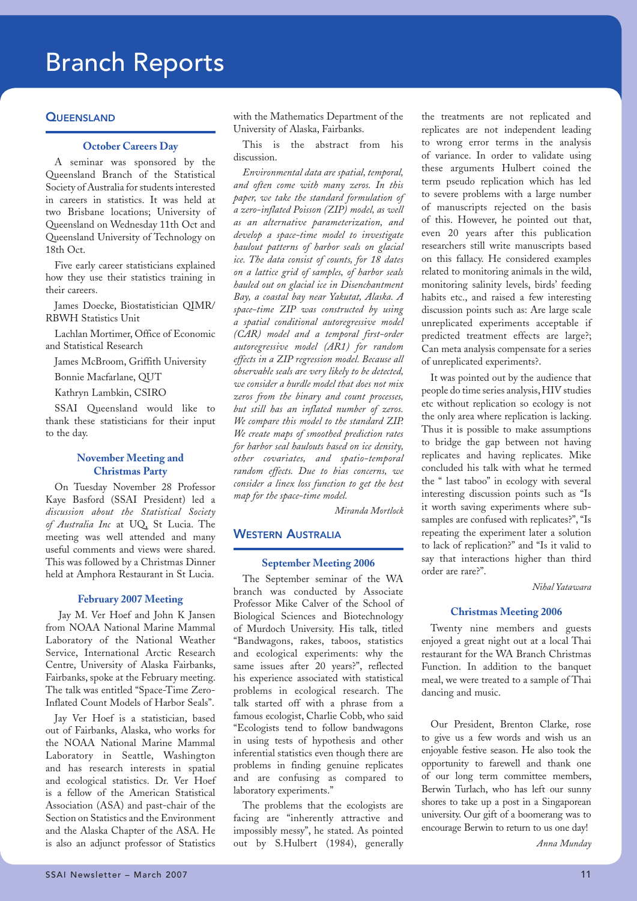## Branch Reports

### **QUEENSLAND**

### **October Careers Day**

A seminar was sponsored by the Queensland Branch of the Statistical Society of Australia for students interested in careers in statistics. It was held at two Brisbane locations; University of Queensland on Wednesday 11th Oct and Queensland University of Technology on 18th Oct.

Five early career statisticians explained how they use their statistics training in their careers.

James Doecke, Biostatistician QIMR/ RBWH Statistics Unit

Lachlan Mortimer, Office of Economic and Statistical Research

James McBroom, Griffith University

Bonnie Macfarlane, QUT

Kathryn Lambkin, CSIRO

SSAI Queensland would like to thank these statisticians for their input to the day.

### **November Meeting and Christmas Party**

On Tuesday November 28 Professor Kaye Basford (SSAI President) led a *discussion about the Statistical Society of Australia Inc* at UQ, St Lucia. The meeting was well attended and many useful comments and views were shared. This was followed by a Christmas Dinner held at Amphora Restaurant in St Lucia.

### **February 2007 Meeting**

 Jay M. Ver Hoef and John K Jansen from NOAA National Marine Mammal Laboratory of the National Weather Service, International Arctic Research Centre, University of Alaska Fairbanks, Fairbanks, spoke at the February meeting. The talk was entitled "Space-Time Zero-Inflated Count Models of Harbor Seals".

Jay Ver Hoef is a statistician, based out of Fairbanks, Alaska, who works for the NOAA National Marine Mammal Laboratory in Seattle, Washington and has research interests in spatial and ecological statistics. Dr. Ver Hoef is a fellow of the American Statistical Association (ASA) and past-chair of the Section on Statistics and the Environment and the Alaska Chapter of the ASA. He is also an adjunct professor of Statistics

with the Mathematics Department of the University of Alaska, Fairbanks.

This is the abstract from his discussion.

*Environmental data are spatial, temporal, and often come with many zeros. In this paper, we take the standard formulation of a zero-inflated Poisson (ZIP) model, as well as an alternative parameterization, and develop a space-time model to investigate haulout patterns of harbor seals on glacial ice. The data consist of counts, for 18 dates on a lattice grid of samples, of harbor seals hauled out on glacial ice in Disenchantment Bay, a coastal bay near Yakutat, Alaska. A space-time ZIP was constructed by using a spatial conditional autoregressive model (CAR) model and a temporal first-order autoregressive model (AR1) for random effects in a ZIP regression model. Because all observable seals are very likely to be detected, we consider a hurdle model that does not mix zeros from the binary and count processes, but still has an inflated number of zeros. We compare this model to the standard ZIP. We create maps of smoothed prediction rates for harbor seal haulouts based on ice density, other covariates, and spatio-temporal random effects. Due to bias concerns, we consider a linex loss function to get the best map for the space-time model.* 

*Miranda Mortlock*

### **WESTERN AUSTRALIA**

### **September Meeting 2006**

The September seminar of the WA branch was conducted by Associate Professor Mike Calver of the School of Biological Sciences and Biotechnology of Murdoch University. His talk, titled "Bandwagons, rakes, taboos, statistics and ecological experiments: why the same issues after 20 years?", reflected his experience associated with statistical problems in ecological research. The talk started off with a phrase from a famous ecologist, Charlie Cobb, who said "Ecologists tend to follow bandwagons in using tests of hypothesis and other inferential statistics even though there are problems in finding genuine replicates and are confusing as compared to laboratory experiments."

The problems that the ecologists are facing are "inherently attractive and impossibly messy", he stated. As pointed out by S.Hulbert (1984), generally the treatments are not replicated and replicates are not independent leading to wrong error terms in the analysis of variance. In order to validate using these arguments Hulbert coined the term pseudo replication which has led to severe problems with a large number of manuscripts rejected on the basis of this. However, he pointed out that, even 20 years after this publication researchers still write manuscripts based on this fallacy. He considered examples related to monitoring animals in the wild, monitoring salinity levels, birds' feeding habits etc., and raised a few interesting discussion points such as: Are large scale unreplicated experiments acceptable if predicted treatment effects are large?; Can meta analysis compensate for a series of unreplicated experiments?.

It was pointed out by the audience that people do time series analysis, HIV studies etc without replication so ecology is not the only area where replication is lacking. Thus it is possible to make assumptions to bridge the gap between not having replicates and having replicates. Mike concluded his talk with what he termed the " last taboo" in ecology with several interesting discussion points such as "Is it worth saving experiments where subsamples are confused with replicates?", "Is repeating the experiment later a solution to lack of replication?" and "Is it valid to say that interactions higher than third order are rare?".

*Nihal Yatawara*

#### **Christmas Meeting 2006**

Twenty nine members and guests enjoyed a great night out at a local Thai restaurant for the WA Branch Christmas Function. In addition to the banquet meal, we were treated to a sample of Thai dancing and music.

Our President, Brenton Clarke, rose to give us a few words and wish us an enjoyable festive season. He also took the opportunity to farewell and thank one of our long term committee members, Berwin Turlach, who has left our sunny shores to take up a post in a Singaporean university. Our gift of a boomerang was to encourage Berwin to return to us one day!

*Anna Munday*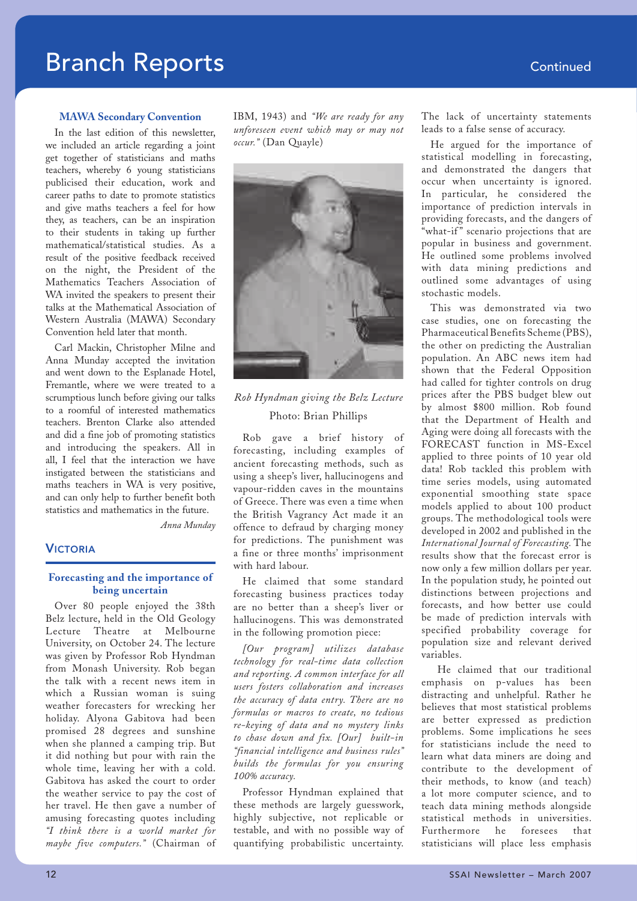### **MAWA Secondary Convention**

In the last edition of this newsletter, we included an article regarding a joint get together of statisticians and maths teachers, whereby 6 young statisticians publicised their education, work and career paths to date to promote statistics and give maths teachers a feel for how they, as teachers, can be an inspiration to their students in taking up further mathematical/statistical studies. As a result of the positive feedback received on the night, the President of the Mathematics Teachers Association of WA invited the speakers to present their talks at the Mathematical Association of Western Australia (MAWA) Secondary Convention held later that month.

Carl Mackin, Christopher Milne and Anna Munday accepted the invitation and went down to the Esplanade Hotel, Fremantle, where we were treated to a scrumptious lunch before giving our talks to a roomful of interested mathematics teachers. Brenton Clarke also attended and did a fine job of promoting statistics and introducing the speakers. All in all, I feel that the interaction we have instigated between the statisticians and maths teachers in WA is very positive, and can only help to further benefit both statistics and mathematics in the future.

*Anna Munday*

### VICTORIA

### **Forecasting and the importance of being uncertain**

Over 80 people enjoyed the 38th Belz lecture, held in the Old Geology Lecture Theatre at Melbourne University, on October 24. The lecture was given by Professor Rob Hyndman from Monash University. Rob began the talk with a recent news item in which a Russian woman is suing weather forecasters for wrecking her holiday. Alyona Gabitova had been promised 28 degrees and sunshine when she planned a camping trip. But it did nothing but pour with rain the whole time, leaving her with a cold. Gabitova has asked the court to order the weather service to pay the cost of her travel. He then gave a number of amusing forecasting quotes including *"I think there is a world market for maybe five computers."* (Chairman of

IBM, 1943) and *"We are ready for any unforeseen event which may or may not occur."* (Dan Quayle)



### *Rob Hyndman giving the Belz Lecture* Photo: Brian Phillips

Rob gave a brief history of forecasting, including examples of ancient forecasting methods, such as using a sheep's liver, hallucinogens and vapour-ridden caves in the mountains of Greece. There was even a time when the British Vagrancy Act made it an offence to defraud by charging money for predictions. The punishment was a fine or three months' imprisonment with hard labour.

He claimed that some standard forecasting business practices today are no better than a sheep's liver or hallucinogens. This was demonstrated in the following promotion piece:

*[Our program] utilizes database technology for real-time data collection and reporting. A common interface for all users fosters collaboration and increases the accuracy of data entry. There are no formulas or macros to create, no tedious re-keying of data and no mystery links to chase down and fix. [Our] built-in "financial intelligence and business rules" builds the formulas for you ensuring 100% accuracy.*

Professor Hyndman explained that these methods are largely guesswork, highly subjective, not replicable or testable, and with no possible way of quantifying probabilistic uncertainty. The lack of uncertainty statements leads to a false sense of accuracy.

He argued for the importance of statistical modelling in forecasting, and demonstrated the dangers that occur when uncertainty is ignored. In particular, he considered the importance of prediction intervals in providing forecasts, and the dangers of "what-if" scenario projections that are popular in business and government. He outlined some problems involved with data mining predictions and outlined some advantages of using stochastic models.

This was demonstrated via two case studies, one on forecasting the Pharmaceutical Benefits Scheme (PBS), the other on predicting the Australian population. An ABC news item had shown that the Federal Opposition had called for tighter controls on drug prices after the PBS budget blew out by almost \$800 million. Rob found that the Department of Health and Aging were doing all forecasts with the FORECAST function in MS-Excel applied to three points of 10 year old data! Rob tackled this problem with time series models, using automated exponential smoothing state space models applied to about 100 product groups. The methodological tools were developed in 2002 and published in the *International Journal of Forecasting.* The results show that the forecast error is now only a few million dollars per year. In the population study, he pointed out distinctions between projections and forecasts, and how better use could be made of prediction intervals with specified probability coverage for population size and relevant derived variables.

 He claimed that our traditional emphasis on p-values has been distracting and unhelpful. Rather he believes that most statistical problems are better expressed as prediction problems. Some implications he sees for statisticians include the need to learn what data miners are doing and contribute to the development of their methods, to know (and teach) a lot more computer science, and to teach data mining methods alongside statistical methods in universities. Furthermore he foresees that statisticians will place less emphasis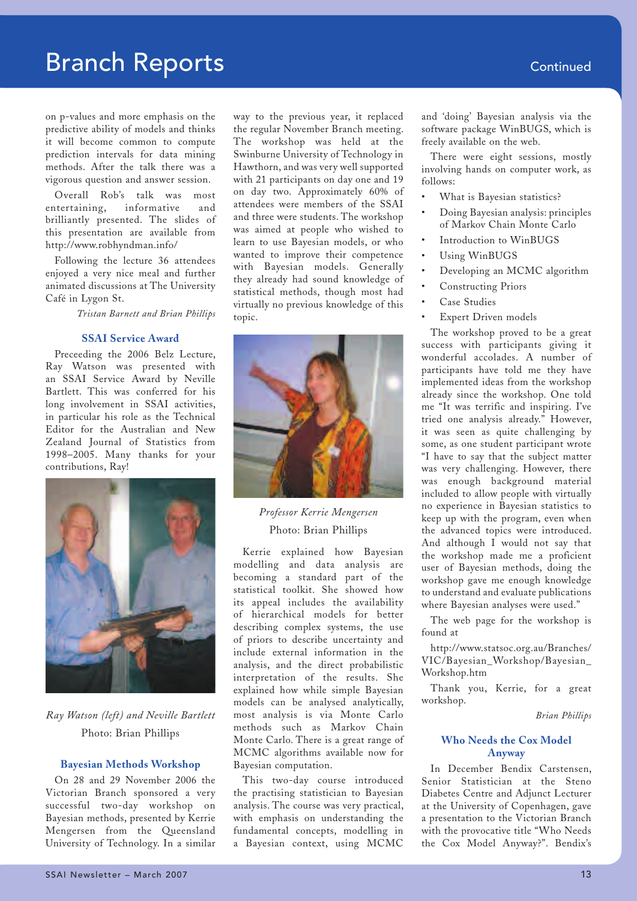on p-values and more emphasis on the predictive ability of models and thinks it will become common to compute prediction intervals for data mining methods. After the talk there was a vigorous question and answer session.

Overall Rob's talk was most entertaining, informative and brilliantly presented. The slides of this presentation are available from http://www.robhyndman.info/

Following the lecture 36 attendees enjoyed a very nice meal and further animated discussions at The University Café in Lygon St.

*Tristan Barnett and Brian Phillips* 

### **SSAI Service Award**

Preceeding the 2006 Belz Lecture, Ray Watson was presented with an SSAI Service Award by Neville Bartlett. This was conferred for his long involvement in SSAI activities, in particular his role as the Technical Editor for the Australian and New Zealand Journal of Statistics from 1998–2005. Many thanks for your contributions, Ray!



*Ray Watson (left) and Neville Bartlett* Photo: Brian Phillips

### **Bayesian Methods Workshop**

On 28 and 29 November 2006 the Victorian Branch sponsored a very successful two-day workshop on Bayesian methods, presented by Kerrie Mengersen from the Queensland University of Technology. In a similar

way to the previous year, it replaced the regular November Branch meeting. The workshop was held at the Swinburne University of Technology in Hawthorn, and was very well supported with 21 participants on day one and 19 on day two. Approximately 60% of attendees were members of the SSAI and three were students. The workshop was aimed at people who wished to learn to use Bayesian models, or who wanted to improve their competence with Bayesian models. Generally they already had sound knowledge of statistical methods, though most had virtually no previous knowledge of this topic.



*Professor Kerrie Mengersen* Photo: Brian Phillips

Kerrie explained how Bayesian modelling and data analysis are becoming a standard part of the statistical toolkit. She showed how its appeal includes the availability of hierarchical models for better describing complex systems, the use of priors to describe uncertainty and include external information in the analysis, and the direct probabilistic interpretation of the results. She explained how while simple Bayesian models can be analysed analytically, most analysis is via Monte Carlo methods such as Markov Chain Monte Carlo. There is a great range of MCMC algorithms available now for Bayesian computation.

This two-day course introduced the practising statistician to Bayesian analysis. The course was very practical, with emphasis on understanding the fundamental concepts, modelling in a Bayesian context, using MCMC

and 'doing' Bayesian analysis via the software package WinBUGS, which is freely available on the web.

There were eight sessions, mostly involving hands on computer work, as follows:

- What is Bayesian statistics?
- Doing Bayesian analysis: principles of Markov Chain Monte Carlo
- Introduction to WinBUGS
- Using WinBUGS
- Developing an MCMC algorithm
- Constructing Priors
- Case Studies
- Expert Driven models

The workshop proved to be a great success with participants giving it wonderful accolades. A number of participants have told me they have implemented ideas from the workshop already since the workshop. One told me "It was terrific and inspiring. I've tried one analysis already." However, it was seen as quite challenging by some, as one student participant wrote "I have to say that the subject matter was very challenging. However, there was enough background material included to allow people with virtually no experience in Bayesian statistics to keep up with the program, even when the advanced topics were introduced. And although I would not say that the workshop made me a proficient user of Bayesian methods, doing the workshop gave me enough knowledge to understand and evaluate publications where Bayesian analyses were used."

The web page for the workshop is found at

http://www.statsoc.org.au/Branches/ VIC/Bayesian\_Workshop/Bayesian\_ Workshop.htm

Thank you, Kerrie, for a great workshop.

*Brian Phillips*

### **Who Needs the Cox Model Anyway**

In December Bendix Carstensen, Senior Statistician at the Steno Diabetes Centre and Adjunct Lecturer at the University of Copenhagen, gave a presentation to the Victorian Branch with the provocative title "Who Needs the Cox Model Anyway?". Bendix's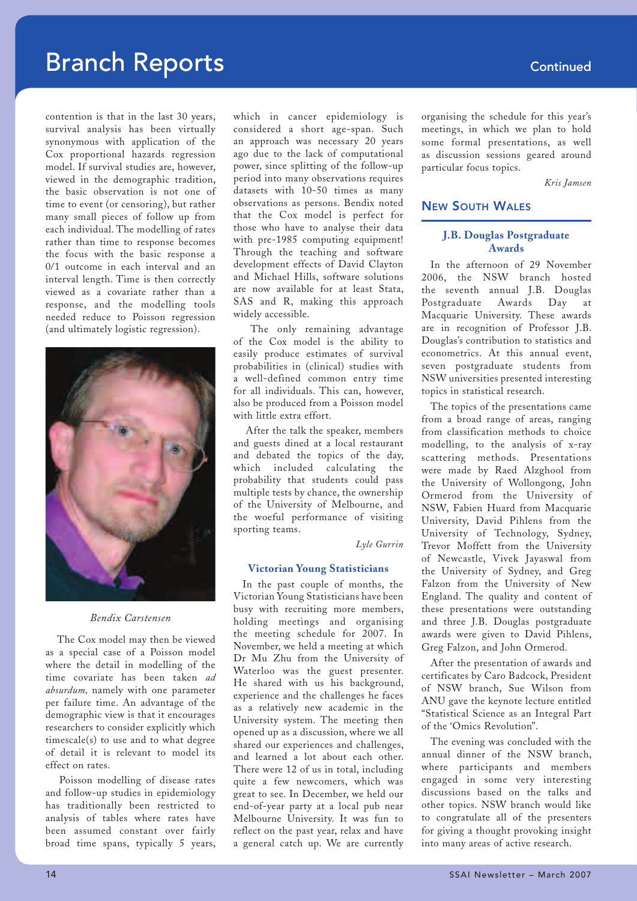contention is that in the last 30 years, survival analysis has been virtually synonymous with application of the Cox proportional hazards regression model. If survival studies are, however, viewed in the demographic tradition, the basic observation is not one of time to event (or censoring), but rather many small pieces of follow up from each individual. The modelling of rates rather than time to response becomes the focus with the basic response a 0/1 outcome in each interval and an interval length. Time is then correctly viewed as a covariate rather than a response, and the modelling tools needed reduce to Poisson regression (and ultimately logistic regression).



*Bendix Carstensen*

 The Cox model may then be viewed as a special case of a Poisson model where the detail in modelling of the time covariate has been taken *ad absurdum,* namely with one parameter per failure time. An advantage of the demographic view is that it encourages researchers to consider explicitly which timescale(s) to use and to what degree of detail it is relevant to model its effect on rates.

 Poisson modelling of disease rates and follow-up studies in epidemiology has traditionally been restricted to analysis of tables where rates have been assumed constant over fairly broad time spans, typically 5 years,

which in cancer epidemiology is considered a short age-span. Such an approach was necessary 20 years ago due to the lack of computational power, since splitting of the follow-up period into many observations requires datasets with 10-50 times as many observations as persons. Bendix noted that the Cox model is perfect for those who have to analyse their data with pre-1985 computing equipment! Through the teaching and software development effects of David Clayton and Michael Hills, software solutions are now available for at least Stata, SAS and R, making this approach widely accessible.

 The only remaining advantage of the Cox model is the ability to easily produce estimates of survival probabilities in (clinical) studies with a well-defined common entry time for all individuals. This can, however, also be produced from a Poisson model with little extra effort.

 After the talk the speaker, members and guests dined at a local restaurant and debated the topics of the day, which included calculating the probability that students could pass multiple tests by chance, the ownership of the University of Melbourne, and the woeful performance of visiting sporting teams.

*Lyle Gurrin*

### **Victorian Young Statisticians**

In the past couple of months, the Victorian Young Statisticians have been busy with recruiting more members, holding meetings and organising the meeting schedule for 2007. In November, we held a meeting at which Dr Mu Zhu from the University of Waterloo was the guest presenter. He shared with us his background, experience and the challenges he faces as a relatively new academic in the University system. The meeting then opened up as a discussion, where we all shared our experiences and challenges, and learned a lot about each other. There were 12 of us in total, including quite a few newcomers, which was great to see. In December, we held our end-of-year party at a local pub near Melbourne University. It was fun to reflect on the past year, relax and have a general catch up. We are currently organising the schedule for this year's meetings, in which we plan to hold some formal presentations, as well as discussion sessions geared around particular focus topics.

*Kris Jamsen*

### NEW SOUTH WALES

### **J.B. Douglas Postgraduate Awards**

In the afternoon of 29 November 2006, the NSW branch hosted the seventh annual J.B. Douglas Postgraduate Awards Day at Macquarie University. These awards are in recognition of Professor J.B. Douglas's contribution to statistics and econometrics. At this annual event, seven postgraduate students from NSW universities presented interesting topics in statistical research.

The topics of the presentations came from a broad range of areas, ranging from classification methods to choice modelling, to the analysis of x-ray scattering methods. Presentations were made by Raed Alzghool from the University of Wollongong, John Ormerod from the University of NSW, Fabien Huard from Macquarie University, David Pihlens from the University of Technology, Sydney, Trevor Moffett from the University of Newcastle, Vivek Jayaswal from the University of Sydney, and Greg Falzon from the University of New England. The quality and content of these presentations were outstanding and three J.B. Douglas postgraduate awards were given to David Pihlens, Greg Falzon, and John Ormerod.

After the presentation of awards and certificates by Caro Badcock, President of NSW branch, Sue Wilson from ANU gave the keynote lecture entitled "Statistical Science as an Integral Part of the 'Omics Revolution".

The evening was concluded with the annual dinner of the NSW branch, where participants and members engaged in some very interesting discussions based on the talks and other topics. NSW branch would like to congratulate all of the presenters for giving a thought provoking insight into many areas of active research.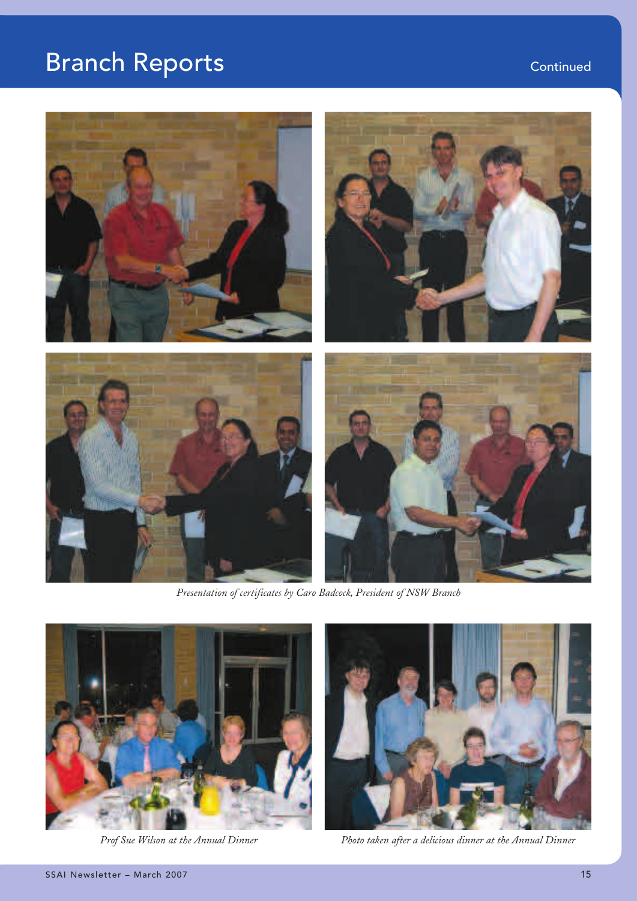

*Presentation of certificates by Caro Badcock, President of NSW Branch*





Prof Sue Wilson at the Annual Dinner **Photo taken after a delicious dinner at** the Annual Dinner